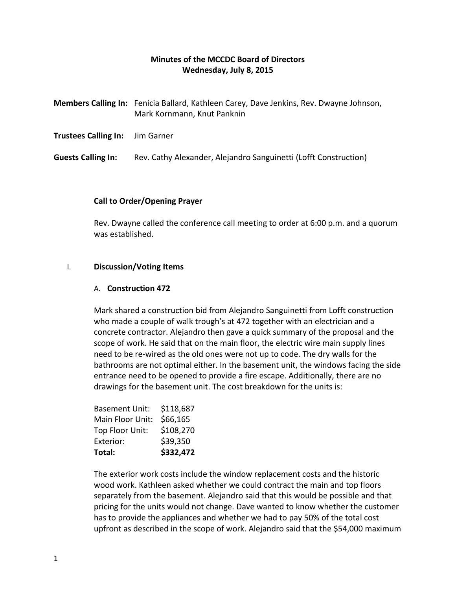# **Minutes of the MCCDC Board of Directors Wednesday, July 8, 2015**

|                                        | Members Calling In: Fenicia Ballard, Kathleen Carey, Dave Jenkins, Rev. Dwayne Johnson,<br>Mark Kornmann, Knut Panknin |
|----------------------------------------|------------------------------------------------------------------------------------------------------------------------|
| <b>Trustees Calling In:</b> Jim Garner |                                                                                                                        |
| <b>Guests Calling In:</b>              | Rev. Cathy Alexander, Alejandro Sanguinetti (Lofft Construction)                                                       |

## **Call to Order/Opening Prayer**

Rev. Dwayne called the conference call meeting to order at 6:00 p.m. and a quorum was established.

### I. **Discussion/Voting Items**

#### A. **Construction 472**

Mark shared a construction bid from Alejandro Sanguinetti from Lofft construction who made a couple of walk trough's at 472 together with an electrician and a concrete contractor. Alejandro then gave a quick summary of the proposal and the scope of work. He said that on the main floor, the electric wire main supply lines need to be re-wired as the old ones were not up to code. The dry walls for the bathrooms are not optimal either. In the basement unit, the windows facing the side entrance need to be opened to provide a fire escape. Additionally, there are no drawings for the basement unit. The cost breakdown for the units is:

| Total:                | \$332,472 |
|-----------------------|-----------|
| Exterior:             | \$39,350  |
| Top Floor Unit:       | \$108,270 |
| Main Floor Unit:      | \$66,165  |
| <b>Basement Unit:</b> | \$118,687 |

The exterior work costs include the window replacement costs and the historic wood work. Kathleen asked whether we could contract the main and top floors separately from the basement. Alejandro said that this would be possible and that pricing for the units would not change. Dave wanted to know whether the customer has to provide the appliances and whether we had to pay 50% of the total cost upfront as described in the scope of work. Alejandro said that the \$54,000 maximum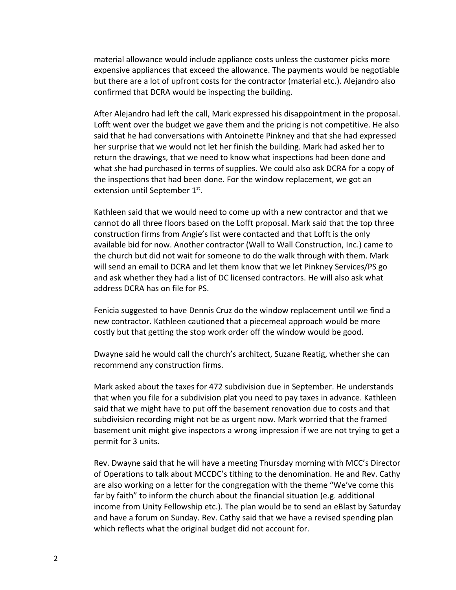material allowance would include appliance costs unless the customer picks more expensive appliances that exceed the allowance. The payments would be negotiable but there are a lot of upfront costs for the contractor (material etc.). Alejandro also confirmed that DCRA would be inspecting the building.

After Alejandro had left the call, Mark expressed his disappointment in the proposal. Lofft went over the budget we gave them and the pricing is not competitive. He also said that he had conversations with Antoinette Pinkney and that she had expressed her surprise that we would not let her finish the building. Mark had asked her to return the drawings, that we need to know what inspections had been done and what she had purchased in terms of supplies. We could also ask DCRA for a copy of the inspections that had been done. For the window replacement, we got an extension until September 1st.

Kathleen said that we would need to come up with a new contractor and that we cannot do all three floors based on the Lofft proposal. Mark said that the top three construction firms from Angie's list were contacted and that Lofft is the only available bid for now. Another contractor (Wall to Wall Construction, Inc.) came to the church but did not wait for someone to do the walk through with them. Mark will send an email to DCRA and let them know that we let Pinkney Services/PS go and ask whether they had a list of DC licensed contractors. He will also ask what address DCRA has on file for PS.

Fenicia suggested to have Dennis Cruz do the window replacement until we find a new contractor. Kathleen cautioned that a piecemeal approach would be more costly but that getting the stop work order off the window would be good.

Dwayne said he would call the church's architect, Suzane Reatig, whether she can recommend any construction firms.

Mark asked about the taxes for 472 subdivision due in September. He understands that when you file for a subdivision plat you need to pay taxes in advance. Kathleen said that we might have to put off the basement renovation due to costs and that subdivision recording might not be as urgent now. Mark worried that the framed basement unit might give inspectors a wrong impression if we are not trying to get a permit for 3 units.

Rev. Dwayne said that he will have a meeting Thursday morning with MCC's Director of Operations to talk about MCCDC's tithing to the denomination. He and Rev. Cathy are also working on a letter for the congregation with the theme "We've come this far by faith" to inform the church about the financial situation (e.g. additional income from Unity Fellowship etc.). The plan would be to send an eBlast by Saturday and have a forum on Sunday. Rev. Cathy said that we have a revised spending plan which reflects what the original budget did not account for.